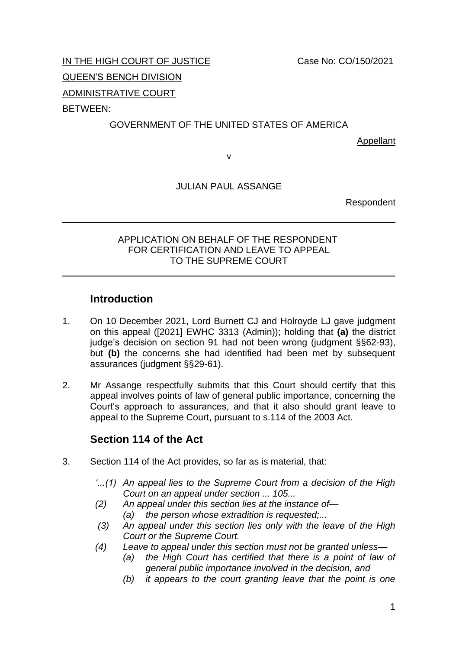IN THE HIGH COURT OF JUSTICE Case No: CO/150/2021

QUEEN'S BENCH DIVISION

ADMINISTRATIVE COURT

BETWEEN:

### GOVERNMENT OF THE UNITED STATES OF AMERICA

Appellant

v

JULIAN PAUL ASSANGE

Respondent

#### APPLICATION ON BEHALF OF THE RESPONDENT FOR CERTIFICATION AND LEAVE TO APPEAL TO THE SUPREME COURT

# **Introduction**

- 1. On 10 December 2021, Lord Burnett CJ and Holroyde LJ gave judgment on this appeal ([2021] EWHC 3313 (Admin)); holding that **(a)** the district judge's decision on section 91 had not been wrong (judgment §§62-93), but **(b)** the concerns she had identified had been met by subsequent assurances (judgment §§29-61).
- 2. Mr Assange respectfully submits that this Court should certify that this appeal involves points of law of general public importance, concerning the Court's approach to assurances, and that it also should grant leave to appeal to the Supreme Court, pursuant to s.114 of the 2003 Act.

# **Section 114 of the Act**

- 3. Section 114 of the Act provides, so far as is material, that:
	- *'...(1) An appeal lies to the Supreme Court from a decision of the High Court on an appeal under section ... 105...*
	- *(2) An appeal under this section lies at the instance of— (a) the person whose extradition is requested;...*
	- *(3) An appeal under this section lies only with the leave of the High Court or the Supreme Court.*
	- *(4) Leave to appeal under this section must not be granted unless—*
		- *(a) the High Court has certified that there is a point of law of general public importance involved in the decision, and*
		- *(b) it appears to the court granting leave that the point is one*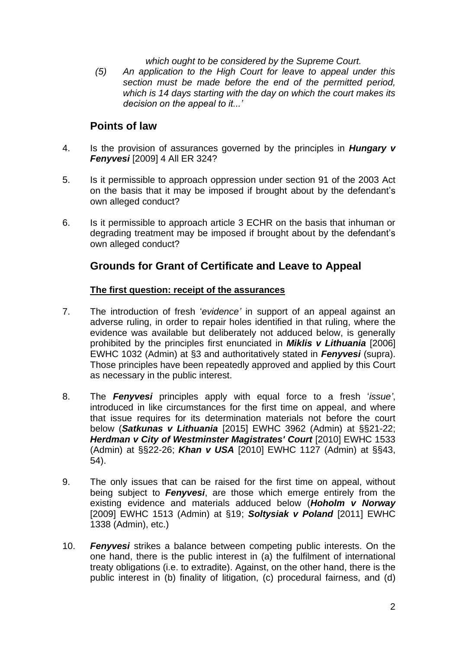*which ought to be considered by the Supreme Court.*

*(5) An application to the High Court for leave to appeal under this section must be made before the end of the permitted period, which is 14 days starting with the day on which the court makes its decision on the appeal to it...'*

### **Points of law**

- 4. Is the provision of assurances governed by the principles in *Hungary v Fenyvesi* [2009] 4 All ER 324?
- 5. Is it permissible to approach oppression under section 91 of the 2003 Act on the basis that it may be imposed if brought about by the defendant's own alleged conduct?
- 6. Is it permissible to approach article 3 ECHR on the basis that inhuman or degrading treatment may be imposed if brought about by the defendant's own alleged conduct?

# **Grounds for Grant of Certificate and Leave to Appeal**

#### **The first question: receipt of the assurances**

- 7. The introduction of fresh '*evidence'* in support of an appeal against an adverse ruling, in order to repair holes identified in that ruling, where the evidence was available but deliberately not adduced below, is generally prohibited by the principles first enunciated in *Miklis v Lithuania* [2006] EWHC 1032 (Admin) at §3 and authoritatively stated in *Fenyvesi* (supra). Those principles have been repeatedly approved and applied by this Court as necessary in the public interest.
- 8. The *Fenyvesi* principles apply with equal force to a fresh '*issue'*, introduced in like circumstances for the first time on appeal, and where that issue requires for its determination materials not before the court below (*Satkunas v Lithuania* [2015] EWHC 3962 (Admin) at §§21-22; *Herdman v City of Westminster Magistrates' Court* [2010] EWHC 1533 (Admin) at §§22-26; *Khan v USA* [2010] EWHC 1127 (Admin) at §§43, 54).
- 9. The only issues that can be raised for the first time on appeal, without being subject to *Fenyvesi*, are those which emerge entirely from the existing evidence and materials adduced below (*Hoholm v Norway*  [2009] EWHC 1513 (Admin) at §19; *Soltysiak v Poland* [2011] EWHC 1338 (Admin), etc.)
- 10. *Fenyvesi* strikes a balance between competing public interests. On the one hand, there is the public interest in (a) the fulfilment of international treaty obligations (i.e. to extradite). Against, on the other hand, there is the public interest in (b) finality of litigation, (c) procedural fairness, and (d)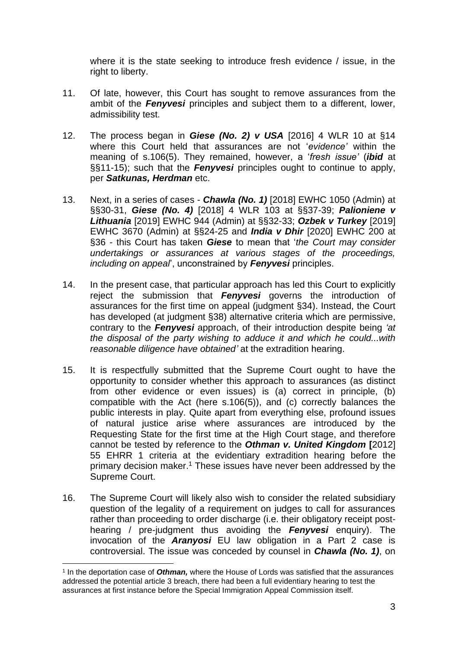where it is the state seeking to introduce fresh evidence / issue, in the right to liberty.

- 11. Of late, however, this Court has sought to remove assurances from the ambit of the *Fenyvesi* principles and subject them to a different, lower, admissibility test.
- 12. The process began in *Giese (No. 2) v USA* [2016] 4 WLR 10 at §14 where this Court held that assurances are not '*evidence'* within the meaning of s.106(5). They remained, however, a '*fresh issue'* (*ibid* at §§11-15); such that the *Fenyvesi* principles ought to continue to apply, per *Satkunas, Herdman* etc.
- 13. Next, in a series of cases *Chawla (No. 1)* [2018] EWHC 1050 (Admin) at §§30-31, *Giese (No. 4)* [2018] 4 WLR 103 at §§37-39; *Palioniene v Lithuania* [2019] EWHC 944 (Admin) at §§32-33; *Ozbek v Turkey* [2019] EWHC 3670 (Admin) at §§24-25 and *India v Dhir* [2020] EWHC 200 at §36 - this Court has taken *Giese* to mean that '*the Court may consider undertakings or assurances at various stages of the proceedings, including on appeal*', unconstrained by *Fenyvesi* principles.
- 14. In the present case, that particular approach has led this Court to explicitly reject the submission that *Fenyvesi* governs the introduction of assurances for the first time on appeal (judgment §34). Instead, the Court has developed (at judgment §38) alternative criteria which are permissive, contrary to the *Fenyvesi* approach, of their introduction despite being *'at the disposal of the party wishing to adduce it and which he could...with reasonable diligence have obtained'* at the extradition hearing.
- 15. It is respectfully submitted that the Supreme Court ought to have the opportunity to consider whether this approach to assurances (as distinct from other evidence or even issues) is (a) correct in principle, (b) compatible with the Act (here s.106(5)), and (c) correctly balances the public interests in play. Quite apart from everything else, profound issues of natural justice arise where assurances are introduced by the Requesting State for the first time at the High Court stage, and therefore cannot be tested by reference to the *Othman v. United Kingdom* **[**2012] 55 EHRR 1 criteria at the evidentiary extradition hearing before the primary decision maker. <sup>1</sup> These issues have never been addressed by the Supreme Court.
- 16. The Supreme Court will likely also wish to consider the related subsidiary question of the legality of a requirement on judges to call for assurances rather than proceeding to order discharge (i.e. their obligatory receipt posthearing / pre-judgment thus avoiding the *Fenyvesi* enquiry). The invocation of the *Aranyosi* EU law obligation in a Part 2 case is controversial. The issue was conceded by counsel in *Chawla (No. 1)*, on

<sup>&</sup>lt;sup>1</sup> In the deportation case of *Othman*, where the House of Lords was satisfied that the assurances addressed the potential article 3 breach, there had been a full evidentiary hearing to test the assurances at first instance before the Special Immigration Appeal Commission itself.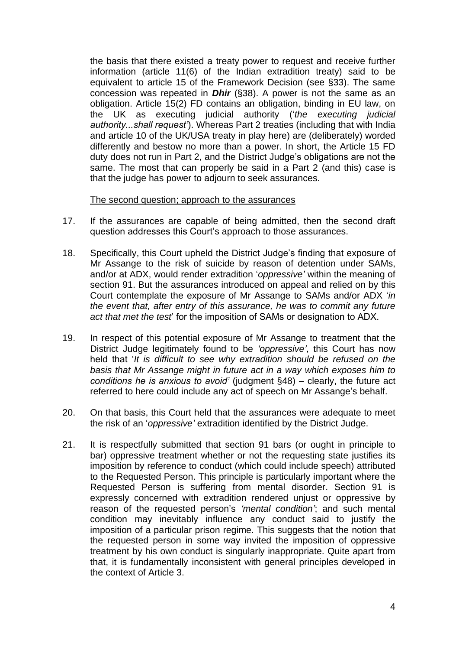the basis that there existed a treaty power to request and receive further information (article 11(6) of the Indian extradition treaty) said to be equivalent to article 15 of the Framework Decision (see §33). The same concession was repeated in *Dhir* (§38). A power is not the same as an obligation. Article 15(2) FD contains an obligation, binding in EU law, on the UK as executing judicial authority ('*the executing judicial authority...shall request'*). Whereas Part 2 treaties (including that with India and article 10 of the UK/USA treaty in play here) are (deliberately) worded differently and bestow no more than a power. In short, the Article 15 FD duty does not run in Part 2, and the District Judge's obligations are not the same. The most that can properly be said in a Part 2 (and this) case is that the judge has power to adjourn to seek assurances.

#### The second question; approach to the assurances

- 17. If the assurances are capable of being admitted, then the second draft question addresses this Court's approach to those assurances.
- 18. Specifically, this Court upheld the District Judge's finding that exposure of Mr Assange to the risk of suicide by reason of detention under SAMs, and/or at ADX, would render extradition '*oppressive'* within the meaning of section 91. But the assurances introduced on appeal and relied on by this Court contemplate the exposure of Mr Assange to SAMs and/or ADX '*in the event that, after entry of this assurance, he was to commit any future act that met the test*' for the imposition of SAMs or designation to ADX.
- 19. In respect of this potential exposure of Mr Assange to treatment that the District Judge legitimately found to be *'oppressive'*, this Court has now held that '*It is difficult to see why extradition should be refused on the basis that Mr Assange might in future act in a way which exposes him to conditions he is anxious to avoid'* (judgment §48) – clearly, the future act referred to here could include any act of speech on Mr Assange's behalf.
- 20. On that basis, this Court held that the assurances were adequate to meet the risk of an '*oppressive'* extradition identified by the District Judge.
- 21. It is respectfully submitted that section 91 bars (or ought in principle to bar) oppressive treatment whether or not the requesting state justifies its imposition by reference to conduct (which could include speech) attributed to the Requested Person. This principle is particularly important where the Requested Person is suffering from mental disorder. Section 91 is expressly concerned with extradition rendered unjust or oppressive by reason of the requested person's *'mental condition'*; and such mental condition may inevitably influence any conduct said to justify the imposition of a particular prison regime. This suggests that the notion that the requested person in some way invited the imposition of oppressive treatment by his own conduct is singularly inappropriate. Quite apart from that, it is fundamentally inconsistent with general principles developed in the context of Article 3.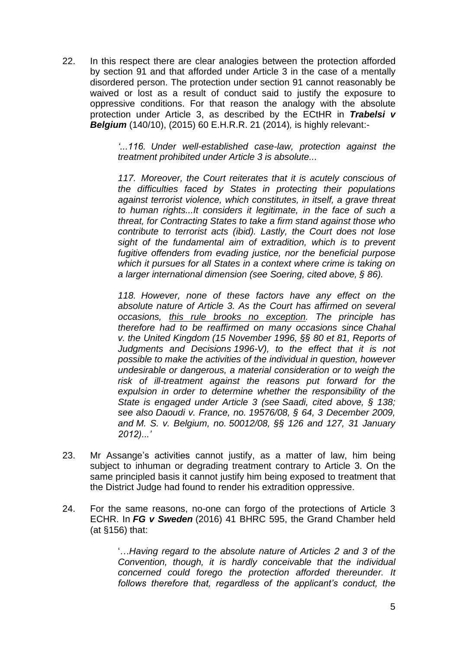22. In this respect there are clear analogies between the protection afforded by section 91 and that afforded under Article 3 in the case of a mentally disordered person. The protection under section 91 cannot reasonably be waived or lost as a result of conduct said to justify the exposure to oppressive conditions. For that reason the analogy with the absolute protection under Article 3, as described by the ECtHR in *Trabelsi v Belgium* (140/10), (2015) 60 E.H.R.R. 21 (2014)*,* is highly relevant:-

> *'...116. Under well-established case-law, protection against the treatment prohibited under Article 3 is absolute...*

> *117. Moreover, the Court reiterates that it is acutely conscious of the difficulties faced by States in protecting their populations against terrorist violence, which constitutes, in itself, a grave threat to human rights...It considers it legitimate, in the face of such a threat, for Contracting States to take a firm stand against those who contribute to terrorist acts (ibid). Lastly, the Court does not lose sight of the fundamental aim of extradition, which is to prevent fugitive offenders from evading justice, nor the beneficial purpose which it pursues for all States in a context where crime is taking on a larger international dimension (see Soering, cited above, § 86).*

> *118. However, none of these factors have any effect on the absolute nature of Article 3. As the Court has affirmed on several occasions, this rule brooks no exception. The principle has therefore had to be reaffirmed on many occasions since Chahal v. the United Kingdom (15 November 1996, §§ 80 et 81, Reports of Judgments and Decisions 1996-V), to the effect that it is not possible to make the activities of the individual in question, however undesirable or dangerous, a material consideration or to weigh the risk of ill-treatment against the reasons put forward for the expulsion in order to determine whether the responsibility of the State is engaged under Article 3 (see Saadi, cited above, § 138; see also Daoudi v. France, no. 19576/08, § 64, 3 December 2009, and M. S. v. Belgium, no. 50012/08, §§ 126 and 127, 31 January 2012)...'*

- 23. Mr Assange's activities cannot justify, as a matter of law, him being subject to inhuman or degrading treatment contrary to Article 3. On the same principled basis it cannot justify him being exposed to treatment that the District Judge had found to render his extradition oppressive.
- 24. For the same reasons, no-one can forgo of the protections of Article 3 ECHR. In *FG v Sweden* (2016) 41 BHRC 595, the Grand Chamber held (at §156) that:

'…*Having regard to the absolute nature of Articles 2 and 3 of the Convention, though, it is hardly conceivable that the individual concerned could forego the protection afforded thereunder. It*  follows therefore that, regardless of the applicant's conduct, the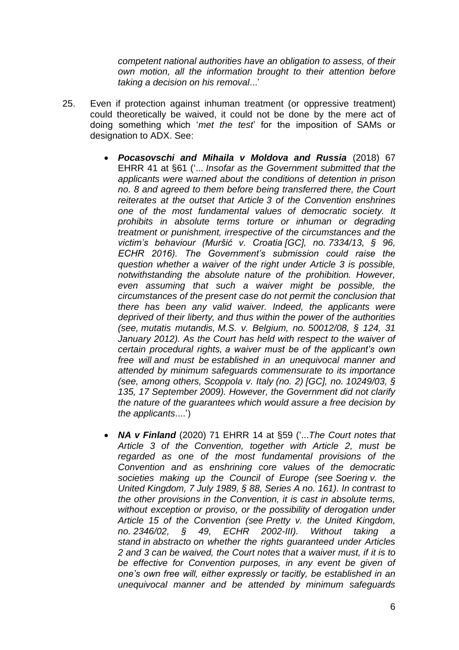*competent national authorities have an obligation to assess, of their own motion, all the information brought to their attention before taking a decision on his removal*...'

- 25. Even if protection against inhuman treatment (or oppressive treatment) could theoretically be waived, it could not be done by the mere act of doing something which '*met the test*' for the imposition of SAMs or designation to ADX. See:
	- *Pocasovschi and Mihaila v Moldova and Russia* (2018) 67 EHRR 41 at §61 ('... *Insofar as the Government submitted that the applicants were warned about the conditions of detention in prison no. 8 and agreed to them before being transferred there, the Court reiterates at the outset that Article 3 of the Convention enshrines one of the most fundamental values of democratic society. It prohibits in absolute terms torture or inhuman or degrading treatment or punishment, irrespective of the circumstances and the victim's behaviour (Muršić v. Croatia [GC], no. 7334/13, § 96, ECHR 2016). The Government's submission could raise the question whether a waiver of the right under Article 3 is possible, notwithstanding the absolute nature of the prohibition. However, even assuming that such a waiver might be possible, the circumstances of the present case do not permit the conclusion that there has been any valid waiver. Indeed, the applicants were deprived of their liberty, and thus within the power of the authorities (see, mutatis mutandis, M.S. v. Belgium, no. 50012/08, § 124, 31 January 2012). As the Court has held with respect to the waiver of certain procedural rights, a waiver must be of the applicant's own free will and must be established in an unequivocal manner and attended by minimum safeguards commensurate to its importance (see, among others, Scoppola v. Italy (no. 2) [GC], no. 10249/03, § 135, 17 September 2009). However, the Government did not clarify the nature of the guarantees which would assure a free decision by the applicants*....')
	- *NA v Finland* (2020) 71 EHRR 14 at §59 ('...*The Court notes that Article 3 of the Convention, together with Article 2, must be regarded as one of the most fundamental provisions of the Convention and as enshrining core values of the democratic societies making up the Council of Europe (see Soering v. the United Kingdom, 7 July 1989, § 88, Series A no. 161). In contrast to the other provisions in the Convention, it is cast in absolute terms, without exception or proviso, or the possibility of derogation under Article 15 of the Convention (see Pretty v. the United Kingdom, no. 2346/02, § 49, ECHR 2002-III). Without taking a stand in abstracto on whether the rights guaranteed under Articles 2 and 3 can be waived, the Court notes that a waiver must, if it is to be effective for Convention purposes, in any event be given of one's own free will, either expressly or tacitly, be established in an unequivocal manner and be attended by minimum safeguards*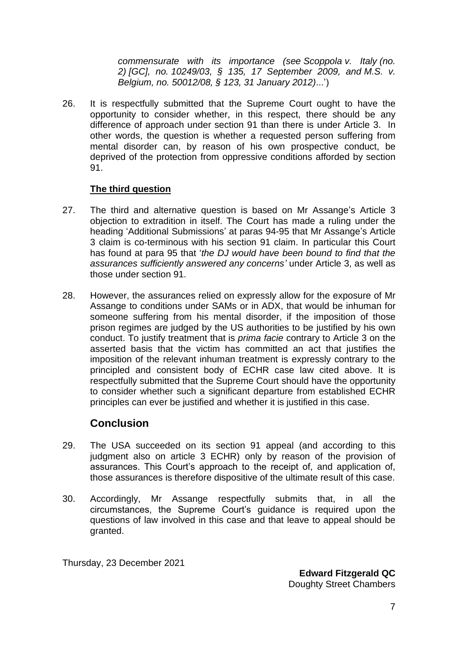*commensurate with its importance (see Scoppola v. Italy (no. 2) [GC], no. 10249/03, § 135, 17 September 2009, and M.S. v. Belgium, no. 50012/08, § 123, 31 January 2012)*...')

26. It is respectfully submitted that the Supreme Court ought to have the opportunity to consider whether, in this respect, there should be any difference of approach under section 91 than there is under Article 3. In other words, the question is whether a requested person suffering from mental disorder can, by reason of his own prospective conduct, be deprived of the protection from oppressive conditions afforded by section 91.

#### **The third question**

- 27. The third and alternative question is based on Mr Assange's Article 3 objection to extradition in itself. The Court has made a ruling under the heading 'Additional Submissions' at paras 94-95 that Mr Assange's Article 3 claim is co-terminous with his section 91 claim. In particular this Court has found at para 95 that '*the DJ would have been bound to find that the assurances sufficiently answered any concerns'* under Article 3, as well as those under section 91.
- 28. However, the assurances relied on expressly allow for the exposure of Mr Assange to conditions under SAMs or in ADX, that would be inhuman for someone suffering from his mental disorder, if the imposition of those prison regimes are judged by the US authorities to be justified by his own conduct. To justify treatment that is *prima facie* contrary to Article 3 on the asserted basis that the victim has committed an act that justifies the imposition of the relevant inhuman treatment is expressly contrary to the principled and consistent body of ECHR case law cited above. It is respectfully submitted that the Supreme Court should have the opportunity to consider whether such a significant departure from established ECHR principles can ever be justified and whether it is justified in this case.

# **Conclusion**

- 29. The USA succeeded on its section 91 appeal (and according to this judgment also on article 3 ECHR) only by reason of the provision of assurances. This Court's approach to the receipt of, and application of, those assurances is therefore dispositive of the ultimate result of this case.
- 30. Accordingly, Mr Assange respectfully submits that, in all the circumstances, the Supreme Court's guidance is required upon the questions of law involved in this case and that leave to appeal should be granted.

Thursday, 23 December 2021

**Edward Fitzgerald QC** Doughty Street Chambers